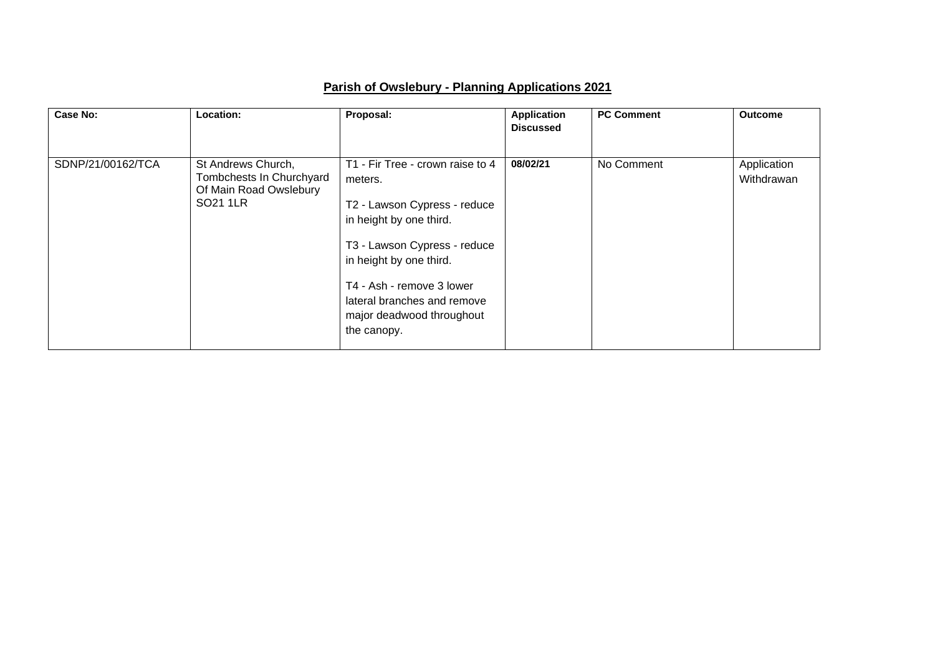| <b>Case No:</b>   | Location:                                                                            | Proposal:                                                                                                                                                                                                                                                                 | <b>Application</b><br><b>Discussed</b> | <b>PC Comment</b> | <b>Outcome</b>            |
|-------------------|--------------------------------------------------------------------------------------|---------------------------------------------------------------------------------------------------------------------------------------------------------------------------------------------------------------------------------------------------------------------------|----------------------------------------|-------------------|---------------------------|
| SDNP/21/00162/TCA | St Andrews Church,<br>Tombchests In Churchyard<br>Of Main Road Owslebury<br>SO21 1LR | T1 - Fir Tree - crown raise to 4<br>meters.<br>T2 - Lawson Cypress - reduce<br>in height by one third.<br>T3 - Lawson Cypress - reduce<br>in height by one third.<br>T4 - Ash - remove 3 lower<br>lateral branches and remove<br>major deadwood throughout<br>the canopy. | 08/02/21                               | No Comment        | Application<br>Withdrawan |

## **Parish of Owslebury - Planning Applications 2021**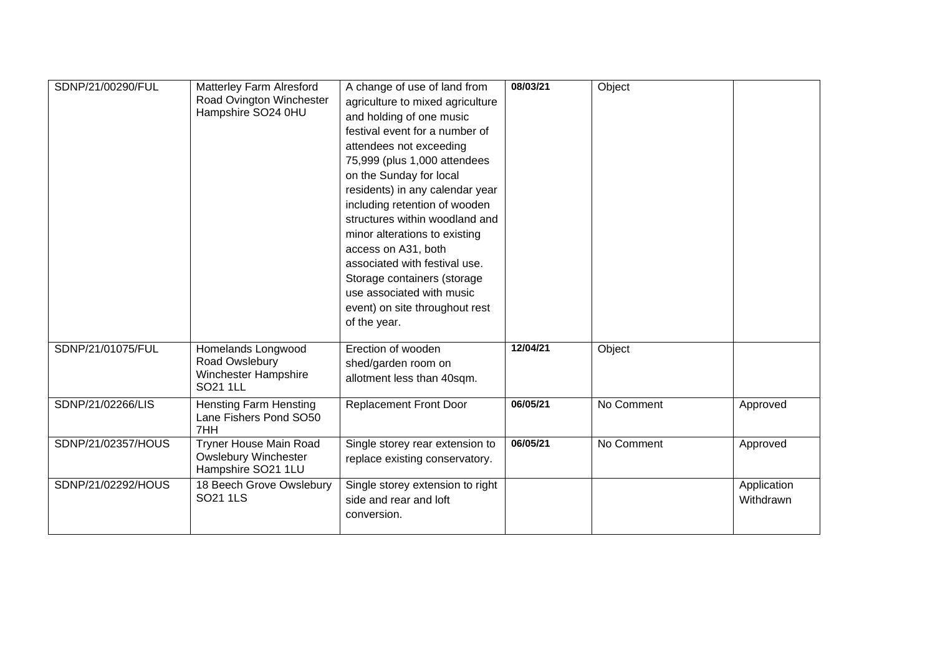| SDNP/21/00290/FUL  | Matterley Farm Alresford<br>Road Ovington Winchester<br>Hampshire SO24 0HU         | A change of use of land from<br>agriculture to mixed agriculture<br>and holding of one music<br>festival event for a number of<br>attendees not exceeding<br>75,999 (plus 1,000 attendees<br>on the Sunday for local<br>residents) in any calendar year<br>including retention of wooden<br>structures within woodland and<br>minor alterations to existing<br>access on A31, both<br>associated with festival use.<br>Storage containers (storage<br>use associated with music<br>event) on site throughout rest<br>of the year. | 08/03/21 | Object     |                          |
|--------------------|------------------------------------------------------------------------------------|-----------------------------------------------------------------------------------------------------------------------------------------------------------------------------------------------------------------------------------------------------------------------------------------------------------------------------------------------------------------------------------------------------------------------------------------------------------------------------------------------------------------------------------|----------|------------|--------------------------|
| SDNP/21/01075/FUL  | Homelands Longwood<br>Road Owslebury<br>Winchester Hampshire<br>SO21 1LL           | Erection of wooden<br>shed/garden room on<br>allotment less than 40sqm.                                                                                                                                                                                                                                                                                                                                                                                                                                                           | 12/04/21 | Object     |                          |
| SDNP/21/02266/LIS  | <b>Hensting Farm Hensting</b><br>Lane Fishers Pond SO50<br>7HH                     | <b>Replacement Front Door</b>                                                                                                                                                                                                                                                                                                                                                                                                                                                                                                     | 06/05/21 | No Comment | Approved                 |
| SDNP/21/02357/HOUS | <b>Tryner House Main Road</b><br><b>Owslebury Winchester</b><br>Hampshire SO21 1LU | Single storey rear extension to<br>replace existing conservatory.                                                                                                                                                                                                                                                                                                                                                                                                                                                                 | 06/05/21 | No Comment | Approved                 |
| SDNP/21/02292/HOUS | 18 Beech Grove Owslebury<br>SO21 1LS                                               | Single storey extension to right<br>side and rear and loft<br>conversion.                                                                                                                                                                                                                                                                                                                                                                                                                                                         |          |            | Application<br>Withdrawn |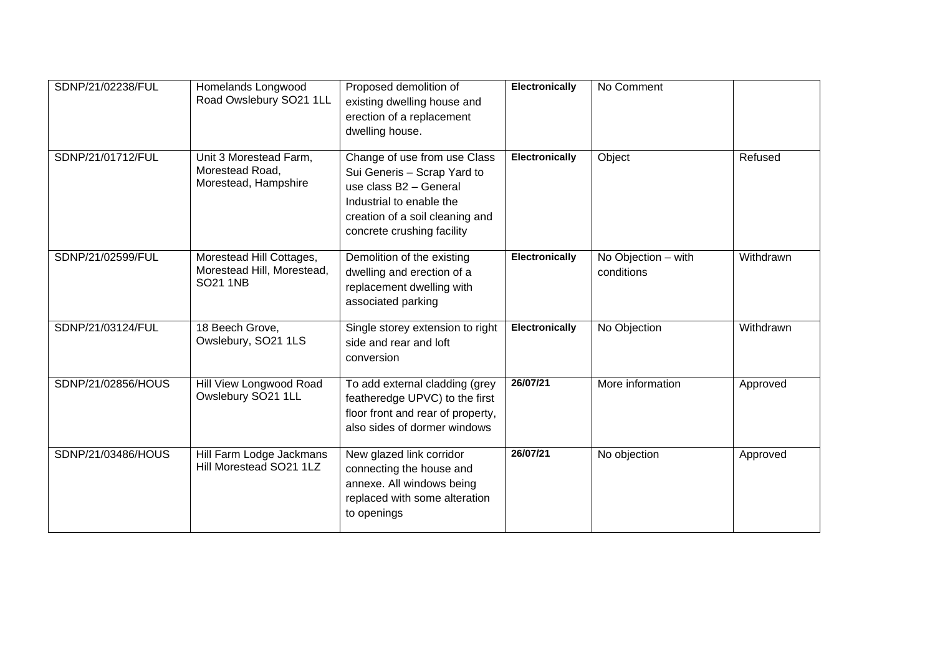| SDNP/21/02238/FUL  | Homelands Longwood<br>Road Owslebury SO21 1LL                             | Proposed demolition of<br>existing dwelling house and<br>erection of a replacement<br>dwelling house.                                                                              | Electronically        | No Comment                        |           |
|--------------------|---------------------------------------------------------------------------|------------------------------------------------------------------------------------------------------------------------------------------------------------------------------------|-----------------------|-----------------------------------|-----------|
| SDNP/21/01712/FUL  | Unit 3 Morestead Farm,<br>Morestead Road,<br>Morestead, Hampshire         | Change of use from use Class<br>Sui Generis - Scrap Yard to<br>use class B2 - General<br>Industrial to enable the<br>creation of a soil cleaning and<br>concrete crushing facility | Electronically        | Object                            | Refused   |
| SDNP/21/02599/FUL  | Morestead Hill Cottages,<br>Morestead Hill, Morestead,<br><b>SO21 1NB</b> | Demolition of the existing<br>dwelling and erection of a<br>replacement dwelling with<br>associated parking                                                                        | <b>Electronically</b> | No Objection - with<br>conditions | Withdrawn |
| SDNP/21/03124/FUL  | 18 Beech Grove,<br>Owslebury, SO21 1LS                                    | Single storey extension to right<br>side and rear and loft<br>conversion                                                                                                           | Electronically        | No Objection                      | Withdrawn |
| SDNP/21/02856/HOUS | Hill View Longwood Road<br>Owslebury SO21 1LL                             | To add external cladding (grey<br>featheredge UPVC) to the first<br>floor front and rear of property,<br>also sides of dormer windows                                              | 26/07/21              | More information                  | Approved  |
| SDNP/21/03486/HOUS | Hill Farm Lodge Jackmans<br>Hill Morestead SO21 1LZ                       | New glazed link corridor<br>connecting the house and<br>annexe. All windows being<br>replaced with some alteration<br>to openings                                                  | 26/07/21              | No objection                      | Approved  |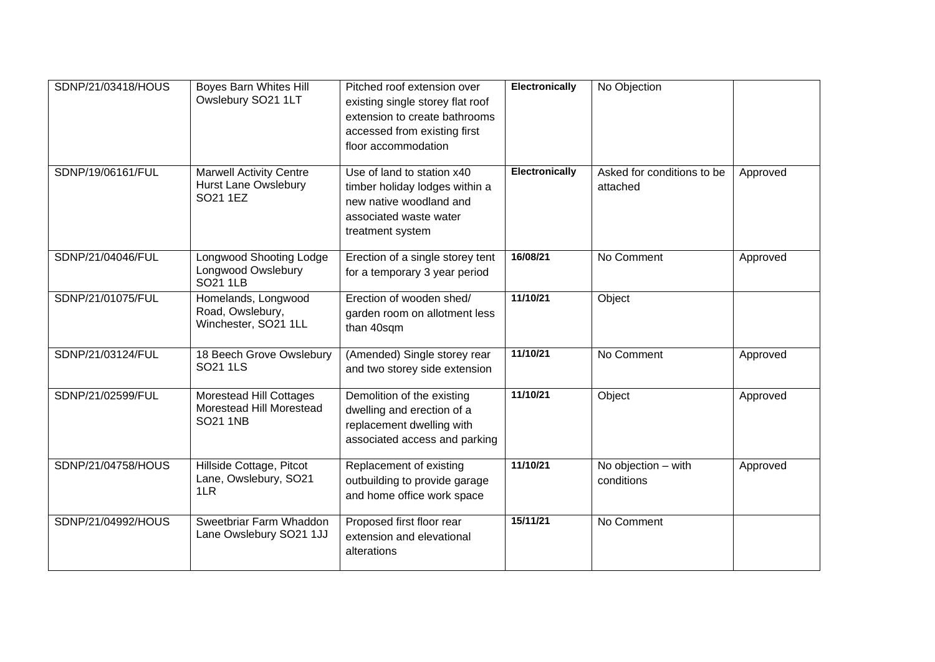| SDNP/21/03418/HOUS | Boyes Barn Whites Hill<br>Owslebury SO21 1LT                              | Pitched roof extension over<br>existing single storey flat roof<br>extension to create bathrooms<br>accessed from existing first<br>floor accommodation | <b>Electronically</b> | No Objection                           |          |
|--------------------|---------------------------------------------------------------------------|---------------------------------------------------------------------------------------------------------------------------------------------------------|-----------------------|----------------------------------------|----------|
| SDNP/19/06161/FUL  | <b>Marwell Activity Centre</b><br><b>Hurst Lane Owslebury</b><br>SO21 1EZ | Use of land to station x40<br>timber holiday lodges within a<br>new native woodland and<br>associated waste water<br>treatment system                   | <b>Electronically</b> | Asked for conditions to be<br>attached | Approved |
| SDNP/21/04046/FUL  | <b>Longwood Shooting Lodge</b><br>Longwood Owslebury<br><b>SO21 1LB</b>   | Erection of a single storey tent<br>for a temporary 3 year period                                                                                       | 16/08/21              | No Comment                             | Approved |
| SDNP/21/01075/FUL  | Homelands, Longwood<br>Road, Owslebury,<br>Winchester, SO21 1LL           | Erection of wooden shed/<br>garden room on allotment less<br>than 40sqm                                                                                 | 11/10/21              | Object                                 |          |
| SDNP/21/03124/FUL  | 18 Beech Grove Owslebury<br>SO21 1LS                                      | (Amended) Single storey rear<br>and two storey side extension                                                                                           | 11/10/21              | No Comment                             | Approved |
| SDNP/21/02599/FUL  | Morestead Hill Cottages<br>Morestead Hill Morestead<br><b>SO21 1NB</b>    | Demolition of the existing<br>dwelling and erection of a<br>replacement dwelling with<br>associated access and parking                                  | 11/10/21              | Object                                 | Approved |
| SDNP/21/04758/HOUS | Hillside Cottage, Pitcot<br>Lane, Owslebury, SO21<br>1LR                  | Replacement of existing<br>outbuilding to provide garage<br>and home office work space                                                                  | 11/10/21              | No objection - with<br>conditions      | Approved |
| SDNP/21/04992/HOUS | Sweetbriar Farm Whaddon<br>Lane Owslebury SO21 1JJ                        | Proposed first floor rear<br>extension and elevational<br>alterations                                                                                   | 15/11/21              | No Comment                             |          |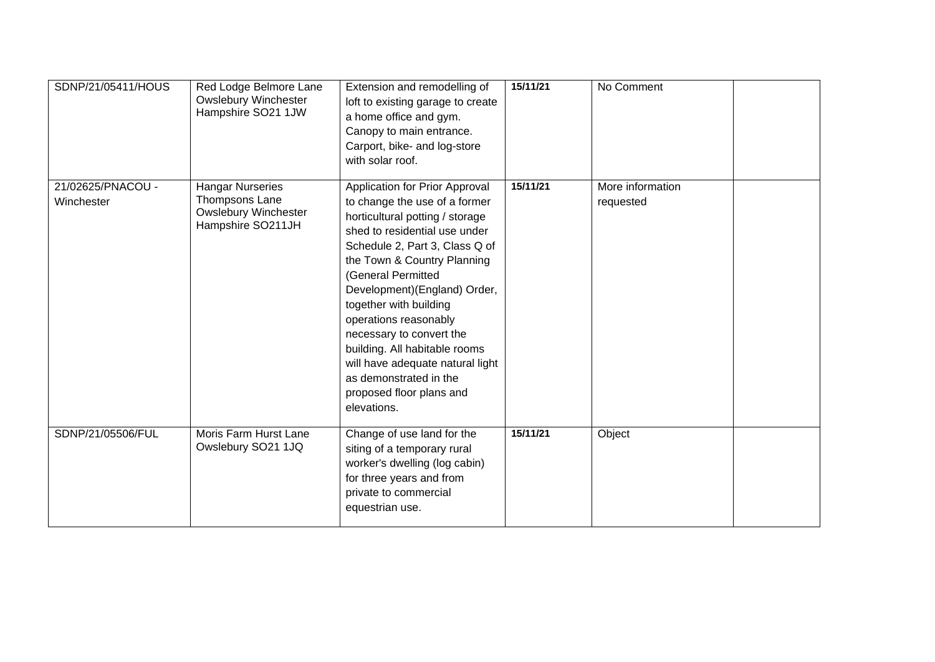| SDNP/21/05411/HOUS              | Red Lodge Belmore Lane<br><b>Owslebury Winchester</b><br>Hampshire SO21 1JW                   | Extension and remodelling of<br>loft to existing garage to create<br>a home office and gym.<br>Canopy to main entrance.<br>Carport, bike- and log-store<br>with solar roof.                                                                                                                                                                                                                                                                                                         | 15/11/21 | No Comment                    |
|---------------------------------|-----------------------------------------------------------------------------------------------|-------------------------------------------------------------------------------------------------------------------------------------------------------------------------------------------------------------------------------------------------------------------------------------------------------------------------------------------------------------------------------------------------------------------------------------------------------------------------------------|----------|-------------------------------|
| 21/02625/PNACOU -<br>Winchester | <b>Hangar Nurseries</b><br>Thompsons Lane<br><b>Owslebury Winchester</b><br>Hampshire SO211JH | Application for Prior Approval<br>to change the use of a former<br>horticultural potting / storage<br>shed to residential use under<br>Schedule 2, Part 3, Class Q of<br>the Town & Country Planning<br>(General Permitted<br>Development)(England) Order,<br>together with building<br>operations reasonably<br>necessary to convert the<br>building. All habitable rooms<br>will have adequate natural light<br>as demonstrated in the<br>proposed floor plans and<br>elevations. | 15/11/21 | More information<br>requested |
| SDNP/21/05506/FUL               | Moris Farm Hurst Lane<br>Owslebury SO21 1JQ                                                   | Change of use land for the<br>siting of a temporary rural<br>worker's dwelling (log cabin)<br>for three years and from<br>private to commercial<br>equestrian use.                                                                                                                                                                                                                                                                                                                  | 15/11/21 | Object                        |